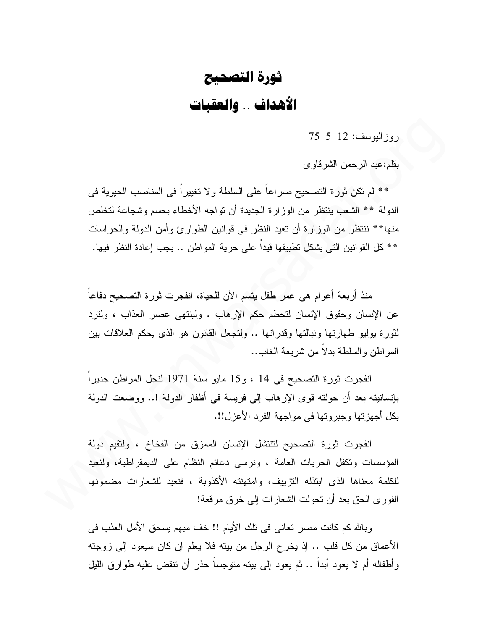## ثورة التصحيح

## الأهداف . . والعقبات

 $75 - 5 - 12$ : روز اليوسف

بقلم:عبد الرحمن الشرقاوى

\*\* لم تكن ثورة التصحيح صراعاً على السلطة ولا تغييراً في المناصب الحيوية في الدولة \*\* الشعب ينتظر من الوزارة الجديدة أن تواجه الأخطاء بحسم وشجاعة لتخلص منها\*\* ننتظر من الوزارة أن تعيد النظر في قوانين الطوارئ وأمن الدولة والحراسات \*\* كل القوانين التي يشكل تطبيقها قيداً على حرية المواطن .. يجب إعادة النظر فيها.

منذ أربعة أعوام هي عمر طفل ينسم الآن للحياة، انفجرت ثورة النصحيح دفاعاً عن الإنسان وحقوق الإنسان لتحطم حكم الإرهاب . ولينتهي عصر العذاب ، ولترد لثورة يوليو طهارتها ونبالتها وقدراتها .. ولتجعل القانون هو الذي يحكم العلاقات بين المو اطن و السلطة بدلاً من شر بعة الغاب..

انفجرت ثورة التصحيح في 14 ، و15 مايو سنة 1971 لنجل المواطن جديراً بإنسانيته بعد أن حولته قوى الإر هاب إلى فريسة في أظفار الدولة !.. ووضعت الدولة بكل أجهز تها وجبر وتها في مواجهة الفر د الأعز ل!!.

انفجرت ثورة التصحيح لتتتشل الإنسان الممزق من الفخاخ ، ولتقيم دولة المؤسسات ونكفل الحريات العامة ، ونرسى دعائم النظام على الديمقراطية، ولنعيد للكلمة معناها الذي ابتذله التزبيف، وامتهنته الأكذوبة ، فنعيد للشعارات مضمونها الفور ي الحق بعد أن تحولت الشعار ات إلى خر ق مر قعة!

وبالله كم كانت مصر نعاني في تلك الأيام !! خف مبهم يسحق الأمل العذب في الأعماق من كل قلب .. إذ يخرج الرجل من بيته فلا يعلم إن كان سيعود إلى زوجته وأطفاله أم لا يعود أبداً .. ثم يعود إلىي بيته متوجساً حذر أن نتقض عليه طوارق الليل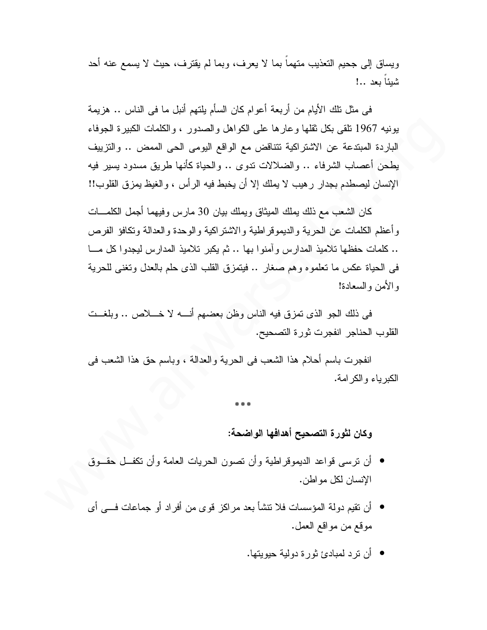ويساق إلى جحيم التعذيب متهماً بما لا يعرف، وبما لم يقترف، حيث لا يسمع عنه أحد شبئا بعد ..!

في مثل تلك الأيام من أربعة أعوام كان السأم يلتهم أنبل ما في الناس .. هزيمة يونيه 1967 نلقى بكل نقلها وعارها على الكواهل والصدور ، والكلمات الكبيرة الجوفاء الباردة المبتدعة عن الاشتراكية تتناقض مع الواقع اليومي الحي الممض .. والتزييف يطحن أعصاب الشرفاء .. والضلالات ندوى .. والحياة كأنها طريق مسدود يسير فيه الإنسان ليصطدم بجدار ٦ هيب لا يملك إلا أن يخبط فيه الر أس ، و الغيظ يمز ق القلو ب!!

كان الشعب مع ذلك بملك الميثاق ويملك بيان 30 مارس وفيهما أجمل الكلمـــات و أعظم الكلمات عن الحرية و الديموقر اطية و الاشتر اكية و الوحدة و العدالة و تكافؤ الفر ص .. كلمات حفظها تلاميذ المدارس و آمنو ا بها .. ثم يكبر تلاميذ المدارس ليجدو ا كل مـــا في الحياة عكس ما نعلموه وهم صغار .. فيتمزق القلب الذي حلم بالعدل ونغنى للحرية و الأمن و السعادة!

في ذلك الجو الذي تمزق فيه الناس وظن بعضهم أنــــه لا خـــــلاص .. وبلغـــت القلوب الحناجر انفجرت ثورة التصحيح.

انفجرت باسم أحلام هذا الشعب في الحرية والعدالة ، وباسم حق هذا الشعب في الكبر باء والكر امة.

\*\*\*

وكان لثورة التصحيح أهدافها الواضحة:

- أن نرسمي فواعد الديموفراطية و أن نصون الحريات العامة و أن نكفــل حقــوق الإنسان لكل مواطن.
- أن نقيم دولة المؤسسات فلا نتشأ بعد مر اكز ِ فو ي من أفر اد أو جماعات فـــ ، أي موقع من مواقع العمل.
	- أن تر د لمبادئ ثور ۃ دولبة حبوبتھا.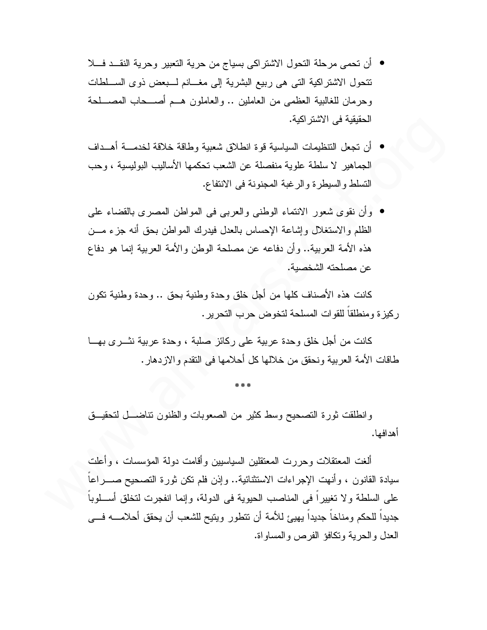- أن تحمى مرحلة التحول الاشتر اكى بسياج من حرية التعبير وحرية النقــد فـــلا نتحول الاشتراكية التي هي ربيع البشرية إلى مغــانم لــبعض ذوى الســلطات وحرمان للغالبية العظمى من العاملين .. والعاملون هــم أصـــحاب المصـــلحة الحقيقية في الاشتر اكية.
- أن تجعل التنظيمات السياسية قوة انطلاق شعبية وطاقة خلاقة لخدمـــة أهـــداف الجماهير لا سلطة علوية منفصلة عن الشعب تحكمها الأساليب البوليسية ، وحب التسلط والسبطر ة والر غبة المجنونة في الانتفاع.
- وأن نقوى شعور الانتماء الوطنبي والعربي في المواطن المصرى بالقضاء على الظلم والاستغلال وإشاعة الإحساس بالعدل فيدرك المواطن بحق أنه جزء مـــن هذه الأمة العربية.. وأن دفاعه عن مصلحة الوطن والأمة العربية إنما هو دفاع عن مصلحته الشخصية.

كانت هذه الأصناف كلها من أجل خلق وحدة وطنية بحق .. وحدة وطنية نكون ركيزة ومنطلقاً للقوات المسلحة لتخوض حرب التحرير .

كانت من أجل خلق وحدة عربية على ركائز صلبة ، وحدة عربية نثـــر ي بهـــا طـاقات الأمة العربية ونحقق من خلالها كل أحلامها في التقدم و الاز دهار .

\* \* \*

وانطلقت ثورة التصحيح وسط كثير من الصعوبات والظنون نتاضـــل لتحقيـــق أهدافها.

ألغت المعتقلات وحررت المعتقلين السياسيين وأقامت دولة المؤسسات ، وأعلت سيادة القانون ، وأنهت الإجراءات الاستثنائية.. وإذن فلم نكن ثورة التصحيح صــــراعا على السلطة ولا تغييراً في المناصب الحيوية في الدولة، وإنما انفجرت لتخلق أســـلوباً جديداً للحكم ومناخاً جديداً يهيئ للأمة أن نتطور ويتيح للشعب أن يحقق أحلامــــه فـــي العدل والحربة ونكافؤ الفرص والمساواة.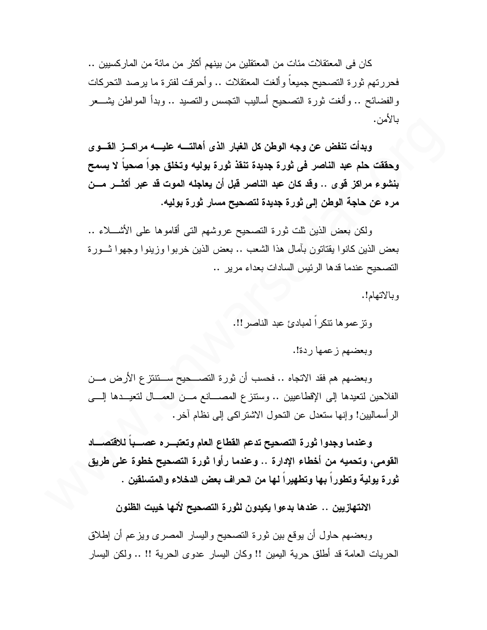كان في المعتقلات مئات من المعتقلين من بينهم أكثر من مائة من المار كسبين .. فحررتهم ثورة التصحيح جميعاً وألغت المعتقلات .. وأحرفت لفترة ما يرصد التحركات والفضائح .. وألغت ثورة التصحيح أساليب النجسس والنصيد .. وبدأ المواطن يشـــعر ىالأمن.

وبدأت تنفض عن وجه الوطن كل الغبار الذي أهالتــــه عليــــه مراكـــز القــــو ي وحققت حلم عبد الناصر في ثورة جديدة تنقذ ثورة بوليه وتخلق جوا صحيا لا يسمح بنشوءِ مراكز فو ي .. وقد كان عبد الناصر قبل أن يعاجله الموت قد عبر أكثـــر مـــن مره عن حاجة الوطن إلى ثورة جديدة لتصحيح مسار ثورة بوليه.

ولكن بعض الذين ثلت ثورة التصحيح عروشهم التي أقاموها على الأشــــلاء .. بعض الذين كانوا بقتاتون بآمال هذا الشعب .. بعض الذين خربوا وزينوا وجهوا ثــور ة التصحيح عندما قدها الرئيس السادات بعداء مرير ..

وبالاتهام!.

ونز عموها نتكر أكمبادئ عبد الناصر !!.

وبعضهم زعمها ردة!.

وبعضهم هم فقد الاتجاه .. فحسب أن ثورة التصـــحيح ســتنتزع الأرض مـــن الفلاحين لتعيدها إلى الإقطاعيين .. وستنزع المصــــانـع مـــن العمـــال لتعيـــدها إلــــي الرَّ أسماليين! وإنها ستعدل عن النحول الاشتر اكبي إلى نظام آخر .

وعندما وجدوا ثورة التصحيح تدعم القطاع العام وتعتبسره عصسبا للاقتصساد القومي، وتحميه من أخطاء الإدارة .. وعندما رأوا ثورة التصحيح خطوة على طريق ثورة يولية وتطورا بها وتطهيرا لها من انحراف بعض الدخلاء والمتسلقين .

الانتهازيين .. عندها بدءوا يكيدون لثورة التصحيح لأنها خيبت الظنون

وبعضهم حاول أن بوقع ببن ثورة النصحيح واليسار المصرى ويزعم أن إطلاق الحريات العامة قد أطلق حرية اليمين !! وكان اليسار عدوى الحرية !! .. ولكن اليسار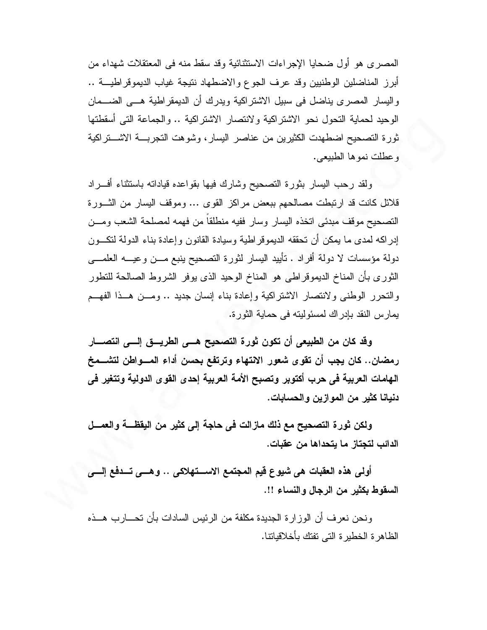المصر ي هو أول ضحايا الإجر اءات الاستثنائية وقد سقط منه في المعتقلات شهداء من أبرز المناضلين الوطنيين وقد عرف الجوع والاضطهاد نتيجة غياب الديموقراطيـــة .. واليسار المصرى يناضل في سبيل الاشتراكية ويدرك أن الديمقراطية هـــي الضـــمان الوحيد لحماية التحول نحو الاشتراكية ولانتصار الاشتراكية .. والجماعة التبي أسقطتها ثورة التصحيح اضطهدت الكثيرين من عناصر اليسار، وشوهت التجربـــة الاشـــتراكية و عطلت نمو ها الطبيعي.

ولقد رحب اليسار بثورة النصحيح وشارك فيها بقواعده قيادانه باستثناء أفسراد قلائل كانت قد ارتبطت مصـالحـهم ببعض مراكز القوى ... وموقف اليسار من الشــورة التصحيح موقف مبدئي اتخذه اليسار وسار ففيه منطلقا من فهمه لمصلحة الشعب ومسن إدراكه لمدى ما بمكن أن تحققه الديموقر اطية وسيادة القانون وإعادة بناء الدولة لتكــون دولة مؤسسات لا دولة أفراد . تأييد اليسار لثورة التصحيح ينبع مـــن وعيـــه العلمــــى النُّوري بأن المناخ الديموقراطي هو المناخ الوحيد الذي يوفِّر الشُّروط الصَّالحة للنَّطور والنحرر الوطني ولانتصار الاشتراكية وإعادة بناء إنسان جديد .. ومـــن هـــذا الفهـــم يمار س النقد بإدر اك لمسئو ليته في حماية الثور ة.

وقد كان من الطبيعي أن تكون ثورة التصحيح هـــي الطريـــق إلـــي انتصــــار رمضان.. كان يجب أن تقوى شعور الانتهاء وترتفع بحسن أداء المسواطن لتشسمخ الهامات العربية في حرب أكتوبر وتصبح الأمة العربية إحدى القوى الدولية وتتغير في دنيانا كثير من الموازين والحسابات.

ولكن ثورة التصحيح مع ذلك مازالت في حاجة إلى كثير من اليقظــــة والعمـــل الدائب لتجتاز ما يتحداها من عقبات.

أولى هذه العقبات هي شيوع قيم المجتمع الاســـتهلاكي .. وهـــي تـــدفع إلــــي السقوط بكثير من الرجال والنساء !!.

ونحن نعرف أن الوزارة الجديدة مكلفة من الرئيس السادات بأن تحـــارب هـــذه الظاهر ة الخطير ة التي تفتك بأخلاقياتنا.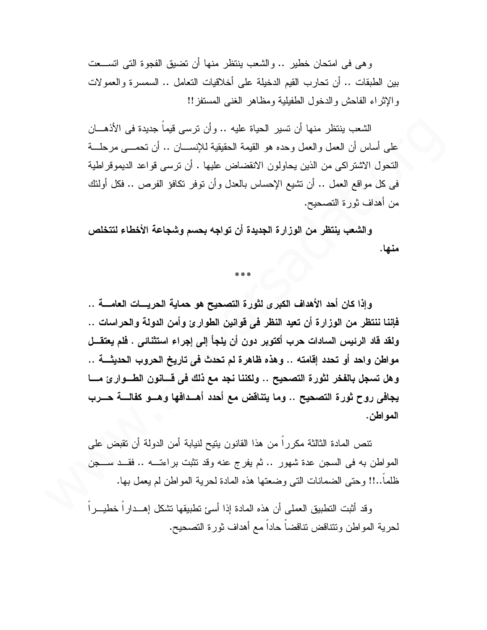و هي في امتحان خطير .. والشعب بنتظر ٍ منها أن تضبق الفجو ة التي انســـعت بين الطبقات .. أن تحارب القيم الدخيلة على أخلاقيات التعامل .. السمسرة والعمولات والإثراء الفاحش والدخول الطفيلية ومظاهر الغنبي المستفز!!

الشعب ينتظر منها أن تسير الحياة عليه .. وأن ترسى قيماً جديدة في الأذهـــان على أساس أن العمل والعمل وحده هو القيمة الحقيقية للإنســـان .. أن تحمــــى مرحلــــة النحول الاشتراكي من الذين يحاولون الانقضاض عليها . أن ترسى فواعد الديمو قر اطبة في كل مواقع العمل .. أن نشيع الإحساس بالعدل وأن نوفر نكافؤ الفرص .. فكل أولئك من أهداف ثورة التصحيح.

والشعب ينتظر من الوزارة الجديدة أن تواجه بحسم وشجاعة الأخطاء لتتخلص منها.

وإذا كان أحد الأهداف الكبر ي لثورة التصحيح هو حماية الحريسات العامسة .. فإننا ننتظر من الوزارة أن تعيد النظر في قوانين الطوارئ وأمن الدولة والحراسات .. ولقد قاد الرئيس السادات حرب أكتوبر دون أن يلجأ إلى إجراء استثنائي . فلم يعتقـــل مواطن واحد أو تحدد إقامته .. وهذه ظاهرة لم تحدث في تاريخ الحروب الحديثــــة .. وهل تسجل بالفخر لثورة التصحيح .. ولكننا نجد مع ذلك في قسانون الطسوارئ مسا يجافي روح ثورة التصحيح .. وما يتناقض مع أحدد أهــدافها وهــو كفالـــة حــرب المو اطن.

نتص المادة الثالثة مكرراً من هذا القانون بِتيح لنيابة أمن الدولة أن تقبض على المواطن به في السجن عدة شهور .. ثم يفرج عنه وقد تثبت براءتـــه .. فقـــد ســــجن ظلما..!! وحتى الضمانات التي وضعتها هذه المادة لحرية المواطن لم يعمل بها.

وقد أثبت التطبيق العملي أن هذه المادة إذا أسئ تطبيقها تشكل إهــدار ا خطيـــر ا لحرية المواطن وتتناقض تناقضاً حاداً مع أهداف ثور ة التصحيح.